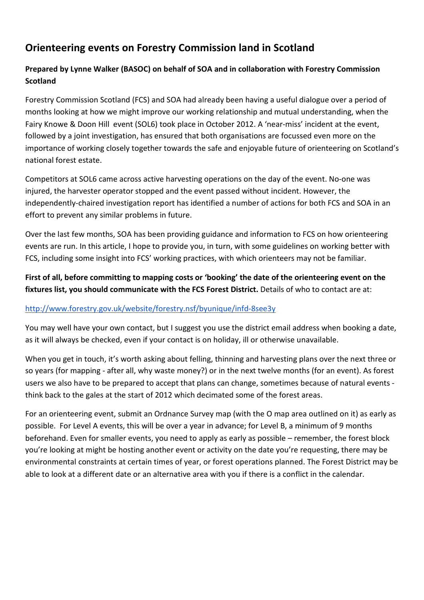## Orienteering events on Forestry Commission land in Scotland

## Prepared by Lynne Walker (BASOC) on behalf of SOA and in collaboration with Forestry Commission **Scotland**

Forestry Commission Scotland (FCS) and SOA had already been having a useful dialogue over a period of months looking at how we might improve our working relationship and mutual understanding, when the Fairy Knowe & Doon Hill event (SOL6) took place in October 2012. A 'near-miss' incident at the event, followed by a joint investigation, has ensured that both organisations are focussed even more on the importance of working closely together towards the safe and enjoyable future of orienteering on Scotland's national forest estate.

Competitors at SOL6 came across active harvesting operations on the day of the event. No-one was injured, the harvester operator stopped and the event passed without incident. However, the independently-chaired investigation report has identified a number of actions for both FCS and SOA in an effort to prevent any similar problems in future.

Over the last few months, SOA has been providing guidance and information to FCS on how orienteering events are run. In this article, I hope to provide you, in turn, with some guidelines on working better with FCS, including some insight into FCS' working practices, with which orienteers may not be familiar.

First of all, before committing to mapping costs or 'booking' the date of the orienteering event on the fixtures list, you should communicate with the FCS Forest District. Details of who to contact are at:

## http://www.forestry.gov.uk/website/forestry.nsf/byunique/infd-8see3y

You may well have your own contact, but I suggest you use the district email address when booking a date, as it will always be checked, even if your contact is on holiday, ill or otherwise unavailable.

When you get in touch, it's worth asking about felling, thinning and harvesting plans over the next three or so years (for mapping - after all, why waste money?) or in the next twelve months (for an event). As forest users we also have to be prepared to accept that plans can change, sometimes because of natural events think back to the gales at the start of 2012 which decimated some of the forest areas.

For an orienteering event, submit an Ordnance Survey map (with the O map area outlined on it) as early as possible. For Level A events, this will be over a year in advance; for Level B, a minimum of 9 months beforehand. Even for smaller events, you need to apply as early as possible – remember, the forest block you're looking at might be hosting another event or activity on the date you're requesting, there may be environmental constraints at certain times of year, or forest operations planned. The Forest District may be able to look at a different date or an alternative area with you if there is a conflict in the calendar.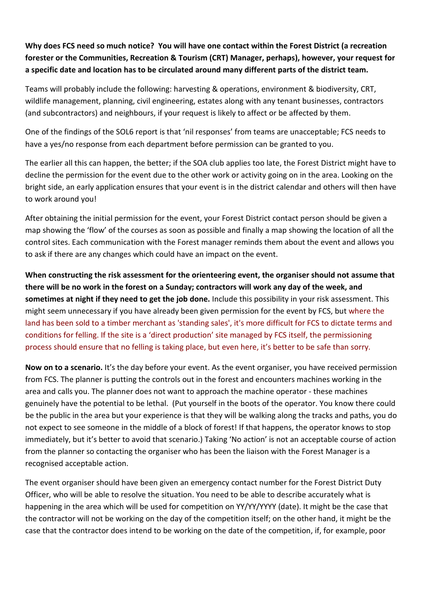Why does FCS need so much notice? You will have one contact within the Forest District (a recreation forester or the Communities, Recreation & Tourism (CRT) Manager, perhaps), however, your request for a specific date and location has to be circulated around many different parts of the district team.

Teams will probably include the following: harvesting & operations, environment & biodiversity, CRT, wildlife management, planning, civil engineering, estates along with any tenant businesses, contractors (and subcontractors) and neighbours, if your request is likely to affect or be affected by them.

One of the findings of the SOL6 report is that 'nil responses' from teams are unacceptable; FCS needs to have a yes/no response from each department before permission can be granted to you.

The earlier all this can happen, the better; if the SOA club applies too late, the Forest District might have to decline the permission for the event due to the other work or activity going on in the area. Looking on the bright side, an early application ensures that your event is in the district calendar and others will then have to work around you!

After obtaining the initial permission for the event, your Forest District contact person should be given a map showing the 'flow' of the courses as soon as possible and finally a map showing the location of all the control sites. Each communication with the Forest manager reminds them about the event and allows you to ask if there are any changes which could have an impact on the event.

When constructing the risk assessment for the orienteering event, the organiser should not assume that there will be no work in the forest on a Sunday; contractors will work any day of the week, and sometimes at night if they need to get the job done. Include this possibility in your risk assessment. This might seem unnecessary if you have already been given permission for the event by FCS, but where the land has been sold to a timber merchant as 'standing sales', it's more difficult for FCS to dictate terms and conditions for felling. If the site is a 'direct production' site managed by FCS itself, the permissioning process should ensure that no felling is taking place, but even here, it's better to be safe than sorry.

Now on to a scenario. It's the day before your event. As the event organiser, you have received permission from FCS. The planner is putting the controls out in the forest and encounters machines working in the area and calls you. The planner does not want to approach the machine operator - these machines genuinely have the potential to be lethal. (Put yourself in the boots of the operator. You know there could be the public in the area but your experience is that they will be walking along the tracks and paths, you do not expect to see someone in the middle of a block of forest! If that happens, the operator knows to stop immediately, but it's better to avoid that scenario.) Taking 'No action' is not an acceptable course of action from the planner so contacting the organiser who has been the liaison with the Forest Manager is a recognised acceptable action.

The event organiser should have been given an emergency contact number for the Forest District Duty Officer, who will be able to resolve the situation. You need to be able to describe accurately what is happening in the area which will be used for competition on YY/YY/YYYY (date). It might be the case that the contractor will not be working on the day of the competition itself; on the other hand, it might be the case that the contractor does intend to be working on the date of the competition, if, for example, poor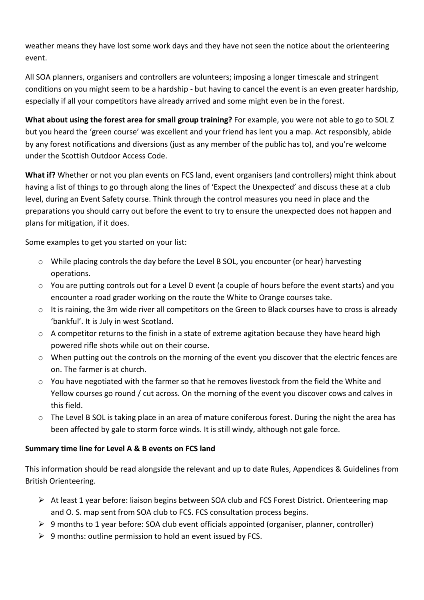weather means they have lost some work days and they have not seen the notice about the orienteering event.

All SOA planners, organisers and controllers are volunteers; imposing a longer timescale and stringent conditions on you might seem to be a hardship - but having to cancel the event is an even greater hardship, especially if all your competitors have already arrived and some might even be in the forest.

What about using the forest area for small group training? For example, you were not able to go to SOL Z but you heard the 'green course' was excellent and your friend has lent you a map. Act responsibly, abide by any forest notifications and diversions (just as any member of the public has to), and you're welcome under the Scottish Outdoor Access Code.

What if? Whether or not you plan events on FCS land, event organisers (and controllers) might think about having a list of things to go through along the lines of 'Expect the Unexpected' and discuss these at a club level, during an Event Safety course. Think through the control measures you need in place and the preparations you should carry out before the event to try to ensure the unexpected does not happen and plans for mitigation, if it does.

Some examples to get you started on your list:

- $\circ$  While placing controls the day before the Level B SOL, you encounter (or hear) harvesting operations.
- $\circ$  You are putting controls out for a Level D event (a couple of hours before the event starts) and you encounter a road grader working on the route the White to Orange courses take.
- $\circ$  It is raining, the 3m wide river all competitors on the Green to Black courses have to cross is already 'bankful'. It is July in west Scotland.
- $\circ$  A competitor returns to the finish in a state of extreme agitation because they have heard high powered rifle shots while out on their course.
- $\circ$  When putting out the controls on the morning of the event you discover that the electric fences are on. The farmer is at church.
- o You have negotiated with the farmer so that he removes livestock from the field the White and Yellow courses go round / cut across. On the morning of the event you discover cows and calves in this field.
- $\circ$  The Level B SOL is taking place in an area of mature coniferous forest. During the night the area has been affected by gale to storm force winds. It is still windy, although not gale force.

## Summary time line for Level A & B events on FCS land

This information should be read alongside the relevant and up to date Rules, Appendices & Guidelines from British Orienteering.

- $\triangleright$  At least 1 year before: liaison begins between SOA club and FCS Forest District. Orienteering map and O. S. map sent from SOA club to FCS. FCS consultation process begins.
- $\triangleright$  9 months to 1 year before: SOA club event officials appointed (organiser, planner, controller)
- $\triangleright$  9 months: outline permission to hold an event issued by FCS.